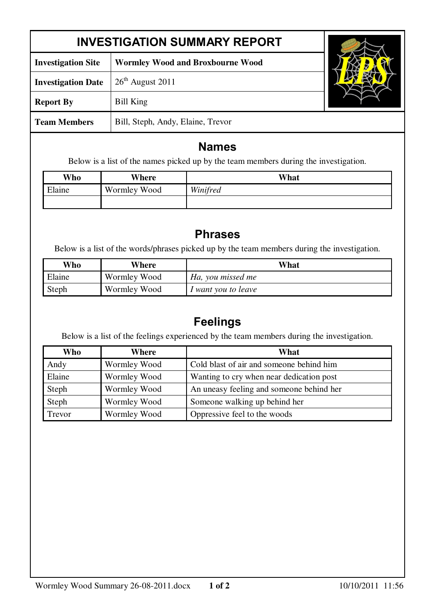| <b>Investigation Site</b> | <b>Wormley Wood and Broxbourne Wood</b> |  |  |
|---------------------------|-----------------------------------------|--|--|
| <b>Investigation Date</b> | $26th$ August 2011                      |  |  |
| <b>Report By</b>          | Bill King                               |  |  |
| <b>Team Members</b>       | Bill, Steph, Andy, Elaine, Trevor       |  |  |

#### **Names**

Below is a list of the names picked up by the team members during the investigation.

| Who    | Where        | What     |
|--------|--------------|----------|
| Elaine | Wormley Wood | Winifred |
|        |              |          |

### **Phrases**

Below is a list of the words/phrases picked up by the team members during the investigation.

| Who    | Where        | What                       |
|--------|--------------|----------------------------|
| Elaine | Wormley Wood | Ha, you missed me          |
| Steph  | Wormley Wood | <i>I</i> want you to leave |

# **Feelings**

Below is a list of the feelings experienced by the team members during the investigation.

| Who    | Where        | What                                     |
|--------|--------------|------------------------------------------|
| Andy   | Wormley Wood | Cold blast of air and someone behind him |
| Elaine | Wormley Wood | Wanting to cry when near dedication post |
| Steph  | Wormley Wood | An uneasy feeling and someone behind her |
| Steph  | Wormley Wood | Someone walking up behind her            |
| Trevor | Wormley Wood | Oppressive feel to the woods             |